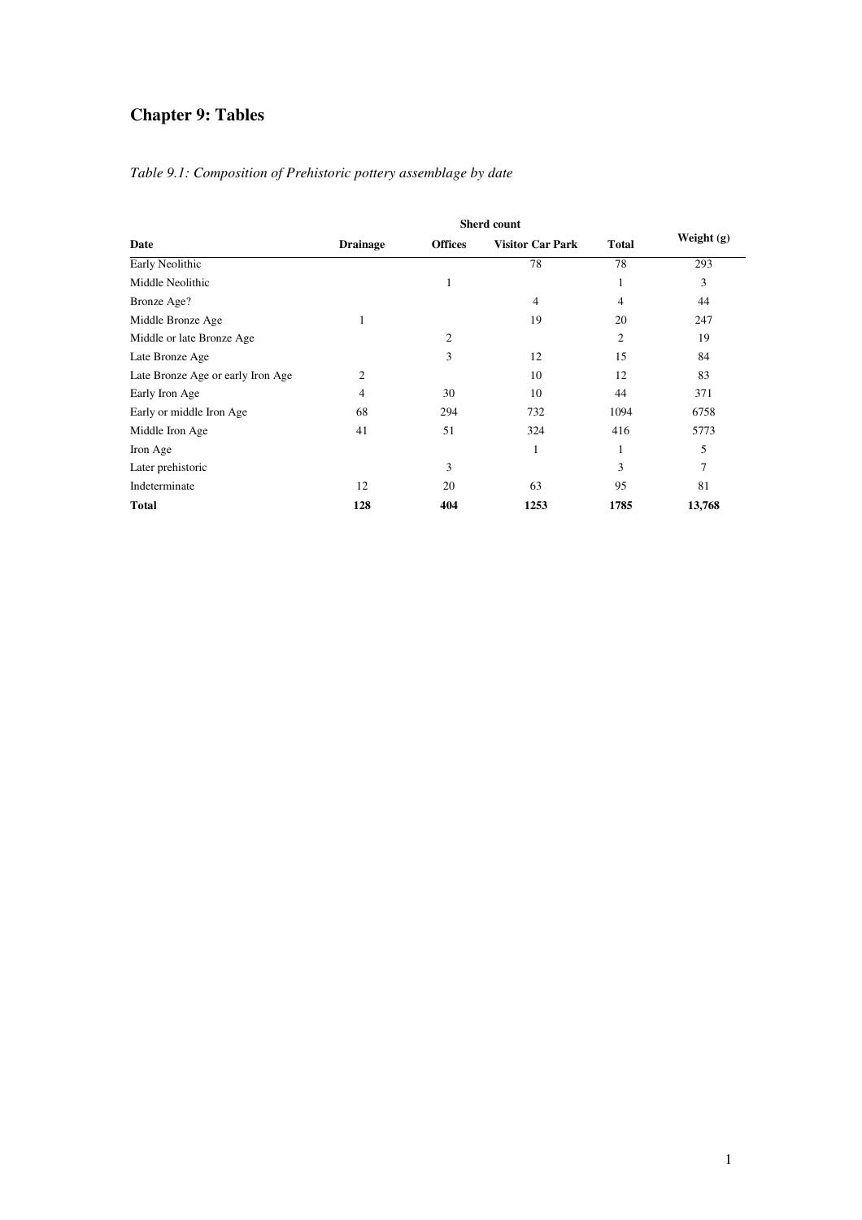# **Chapter 9: Tables**

|  |  | Table 9.1: Composition of Prehistoric pottery assemblage by date |  |  |  |
|--|--|------------------------------------------------------------------|--|--|--|
|--|--|------------------------------------------------------------------|--|--|--|

| Date                              | <b>Drainage</b> | <b>Offices</b> | <b>Visitor Car Park</b> | <b>Total</b>   | Weight $(g)$ |
|-----------------------------------|-----------------|----------------|-------------------------|----------------|--------------|
| Early Neolithic                   |                 |                | 78                      | 78             | 293          |
| Middle Neolithic                  |                 | 1              |                         | 1              | 3            |
| Bronze Age?                       |                 |                | 4                       | 4              | 44           |
| Middle Bronze Age                 | 1               |                | 19                      | 20             | 247          |
| Middle or late Bronze Age         |                 | 2              |                         | $\overline{c}$ | 19           |
| Late Bronze Age                   |                 | 3              | 12                      | 15             | 84           |
| Late Bronze Age or early Iron Age | 2               |                | 10                      | 12             | 83           |
| Early Iron Age                    | 4               | 30             | 10                      | 44             | 371          |
| Early or middle Iron Age          | 68              | 294            | 732                     | 1094           | 6758         |
| Middle Iron Age                   | 41              | 51             | 324                     | 416            | 5773         |
| Iron Age                          |                 |                | 1                       |                | 5            |
| Later prehistoric                 |                 | 3              |                         | 3              | 7            |
| Indeterminate                     | 12              | 20             | 63                      | 95             | 81           |
| <b>Total</b>                      | 128             | 404            | 1253                    | 1785           | 13,768       |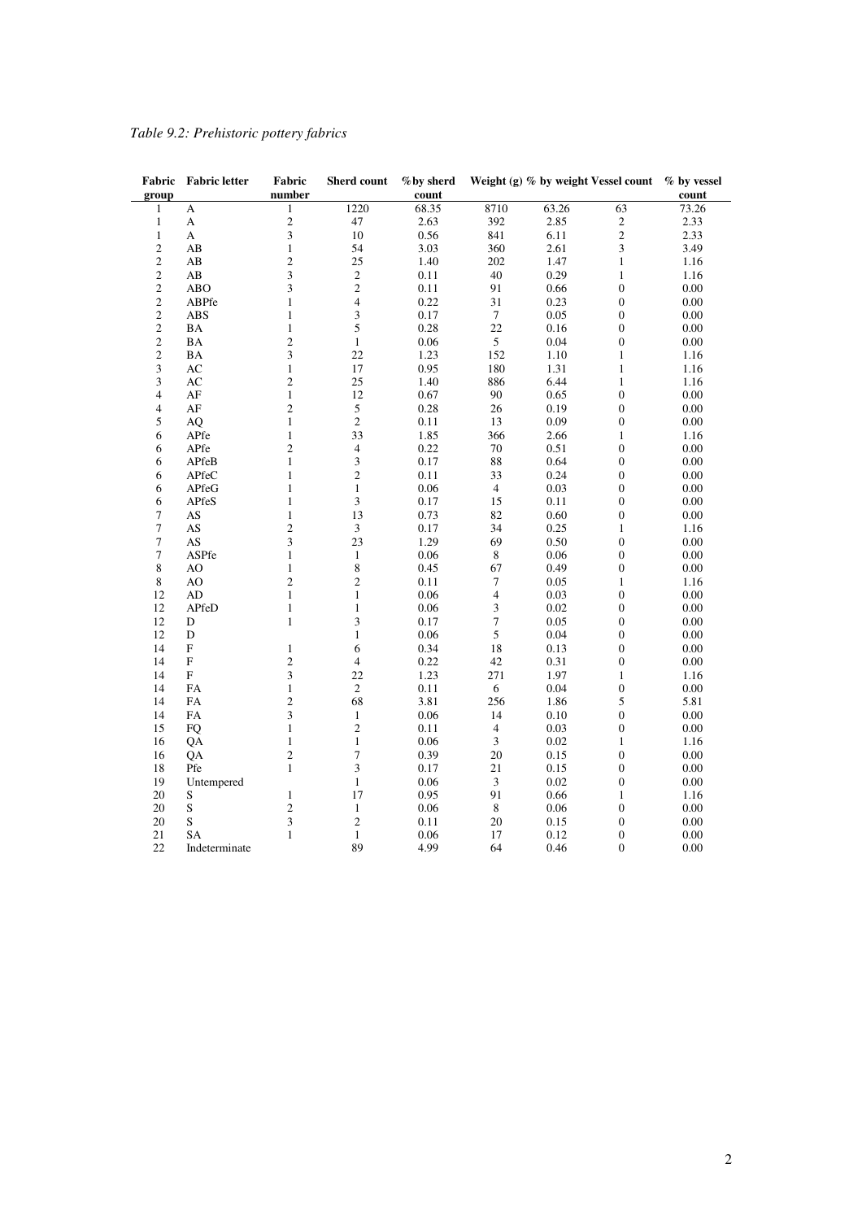## *Table 9.2: Prehistoric pottery fabrics*

|                          | Fabric Fabric letter | Fabric                       | Sherd count      | %by sherd    |                             |       | Weight (g) % by weight Vessel count % by vessel |              |
|--------------------------|----------------------|------------------------------|------------------|--------------|-----------------------------|-------|-------------------------------------------------|--------------|
| group                    |                      | number                       |                  | count        |                             |       |                                                 | count        |
| 1                        | A                    | 1                            | 1220             | 68.35        | 8710                        | 63.26 | 63                                              | 73.26        |
| $\mathbf{1}$             | A                    | $\overline{c}$               | 47               | 2.63         | 392                         | 2.85  | $\begin{smallmatrix}2\\2\end{smallmatrix}$      | 2.33         |
| $\,1\,$                  | A                    | 3                            | 10               | 0.56         | 841                         | 6.11  |                                                 | 2.33         |
| $\overline{\mathbf{c}}$  | AB                   | $\mathbf{1}$                 | 54               | 3.03         | 360                         | 2.61  | $\mathfrak{Z}$                                  | 3.49         |
| $\overline{c}$           | AB                   | $\overline{c}$               | 25               | 1.40         | 202                         | 1.47  | $\mathbf{1}$                                    | 1.16         |
| $\overline{c}$           | AB                   | 3                            | $\overline{c}$   | 0.11         | 40                          | 0.29  | $\mathbf{1}$                                    | 1.16         |
| $\overline{c}$           | <b>ABO</b>           | 3                            | $\overline{c}$   | 0.11         | 91                          | 0.66  | $\boldsymbol{0}$                                | 0.00         |
| $\overline{c}$           | ABPfe                | $\mathbf{1}$                 | $\overline{4}$   | 0.22         | 31                          | 0.23  | $\boldsymbol{0}$                                | 0.00         |
| $\overline{c}$           | <b>ABS</b>           | 1                            | 3                | 0.17         | $\tau$                      | 0.05  | $\boldsymbol{0}$                                | 0.00         |
| $\overline{\mathbf{c}}$  | BA                   | $\mathbf{1}$                 | 5                | 0.28         | 22                          | 0.16  | $\boldsymbol{0}$                                | 0.00         |
| $\overline{c}$           | BA                   | $\overline{c}$               | $\mathbf{1}$     | 0.06         | $\sqrt{5}$                  | 0.04  | $\overline{0}$                                  | 0.00         |
| $\overline{\mathbf{c}}$  | <b>BA</b>            | 3                            | 22               | 1.23         | 152                         | 1.10  | $\mathbf{1}$                                    | 1.16         |
| 3                        | AC                   | $\mathbf{1}$                 | 17               | 0.95         | 180                         | 1.31  | $\mathbf{1}$                                    | 1.16         |
| 3                        | AC                   | $\overline{c}$               | 25               | 1.40         | 886                         | 6.44  | $\mathbf{1}$                                    | 1.16         |
| $\overline{\mathcal{L}}$ | AF                   | $\mathbf{1}$                 | 12               | 0.67         | 90                          | 0.65  | $\boldsymbol{0}$                                | 0.00         |
| $\overline{\mathcal{L}}$ | AF                   | $\overline{c}$               | $\mathfrak s$    | 0.28         | 26                          | 0.19  | $\boldsymbol{0}$                                | 0.00         |
| 5                        | AQ                   | $\mathbf{1}$                 | $\overline{c}$   | 0.11         | 13                          | 0.09  | $\boldsymbol{0}$                                | 0.00         |
| 6                        |                      | $\mathbf{1}$                 | 33               |              | 366                         |       | $\mathbf{1}$                                    |              |
| 6                        | APfe                 | $\overline{c}$               | $\overline{4}$   | 1.85<br>0.22 | $70\,$                      | 2.66  | $\boldsymbol{0}$                                | 1.16<br>0.00 |
|                          | APfe                 |                              |                  |              |                             | 0.51  |                                                 |              |
| 6                        | APfeB                | $\mathbf{1}$<br>$\mathbf{1}$ | 3                | 0.17         | $\bf 88$                    | 0.64  | $\boldsymbol{0}$                                | 0.00         |
| 6                        | APfeC                |                              | $\mathfrak{2}$   | 0.11         | 33                          | 0.24  | $\boldsymbol{0}$                                | 0.00         |
| 6                        | APfeG                | 1                            | $\mathbf{1}$     | 0.06         | $\overline{4}$              | 0.03  | $\boldsymbol{0}$                                | 0.00         |
| 6                        | APfeS                | 1                            | 3                | 0.17         | 15                          | 0.11  | $\boldsymbol{0}$                                | 0.00         |
| 7                        | AS                   | $\mathbf{1}$                 | 13               | 0.73         | 82                          | 0.60  | $\boldsymbol{0}$                                | 0.00         |
| 7                        | AS                   | $\mathbf{2}$                 | $\mathfrak{Z}$   | 0.17         | 34                          | 0.25  | $\mathbf{1}$                                    | 1.16         |
| 7                        | AS                   | 3                            | 23               | 1.29         | 69                          | 0.50  | $\boldsymbol{0}$                                | 0.00         |
| 7                        | ASPfe                | $\mathbf{1}$                 | $\mathbf{1}$     | 0.06         | $\,$ 8 $\,$                 | 0.06  | $\boldsymbol{0}$                                | 0.00         |
| 8                        | AO                   | $\mathbf{1}$                 | 8                | 0.45         | 67                          | 0.49  | $\boldsymbol{0}$                                | 0.00         |
| 8                        | AO                   | $\overline{c}$               | $\mathfrak{2}$   | 0.11         | 7                           | 0.05  | $\mathbf{1}$                                    | 1.16         |
| 12                       | AD                   | $\mathbf{1}$                 | $\mathbf{1}$     | 0.06         | $\overline{4}$              | 0.03  | $\boldsymbol{0}$                                | 0.00         |
| 12                       | APfeD                | $\mathbf{1}$                 | $\mathbf{1}$     | 0.06         | 3                           | 0.02  | $\boldsymbol{0}$                                | 0.00         |
| 12                       | D                    | $\mathbf{1}$                 | 3                | 0.17         | $\tau$                      | 0.05  | $\boldsymbol{0}$                                | 0.00         |
| 12                       | D                    |                              | $\mathbf{1}$     | 0.06         | 5                           | 0.04  | $\boldsymbol{0}$                                | 0.00         |
| 14                       | $\mathbf F$          | $\mathbf{1}$                 | 6                | 0.34         | 18                          | 0.13  | $\boldsymbol{0}$                                | 0.00         |
| 14                       | F                    | $\overline{c}$               | 4                | 0.22         | 42                          | 0.31  | $\boldsymbol{0}$                                | 0.00         |
| 14                       | $\mathbf F$          | 3                            | 22               | 1.23         | 271                         | 1.97  | 1                                               | 1.16         |
| 14                       | <b>FA</b>            | $\mathbf{1}$                 | $\overline{2}$   | 0.11         | 6                           | 0.04  | $\boldsymbol{0}$                                | 0.00         |
| 14                       | FA                   | $\overline{c}$               | 68               | 3.81         | 256                         | 1.86  | 5                                               | 5.81         |
| 14                       | FA                   | 3                            | $\mathbf{1}$     | 0.06         | 14                          | 0.10  | $\boldsymbol{0}$                                | 0.00         |
| 15                       | <b>FQ</b>            | $\mathbf{1}$                 | $\mathfrak{2}$   | 0.11         | $\overline{4}$              | 0.03  | $\boldsymbol{0}$                                | 0.00         |
| 16                       | QA                   | $\mathbf{1}$                 | $\mathbf{1}$     | 0.06         | $\mathfrak 3$               | 0.02  | $\mathbf{1}$                                    | 1.16         |
| 16                       | QA                   | $\overline{c}$               | $\boldsymbol{7}$ | 0.39         | $20\,$                      | 0.15  | $\boldsymbol{0}$                                | 0.00         |
| 18                       | Pfe                  | $\mathbf{1}$                 | 3                | 0.17         | 21                          | 0.15  | $\boldsymbol{0}$                                | 0.00         |
| 19                       | Untempered           |                              | $\mathbf{1}$     | 0.06         | $\ensuremath{\mathfrak{Z}}$ | 0.02  | $\boldsymbol{0}$                                | 0.00         |
| 20                       | S                    | $\mathbf{1}$                 | 17               | 0.95         | 91                          | 0.66  | 1                                               | 1.16         |
| 20                       | $\mathbf S$          | $\overline{c}$               | $\mathbf{1}$     | 0.06         | $\,$ 8 $\,$                 | 0.06  | $\boldsymbol{0}$                                | 0.00         |
| 20                       | $\mathbf S$          | 3                            | $\overline{c}$   | 0.11         | $20\,$                      | 0.15  | $\boldsymbol{0}$                                | 0.00         |
| 21                       | <b>SA</b>            | $\mathbf{1}$                 | $\mathbf{1}$     | 0.06         | 17                          | 0.12  | $\boldsymbol{0}$                                | 0.00         |
| 22                       | Indeterminate        |                              | 89               | 4.99         | 64                          | 0.46  | $\mathbf{0}$                                    | 0.00         |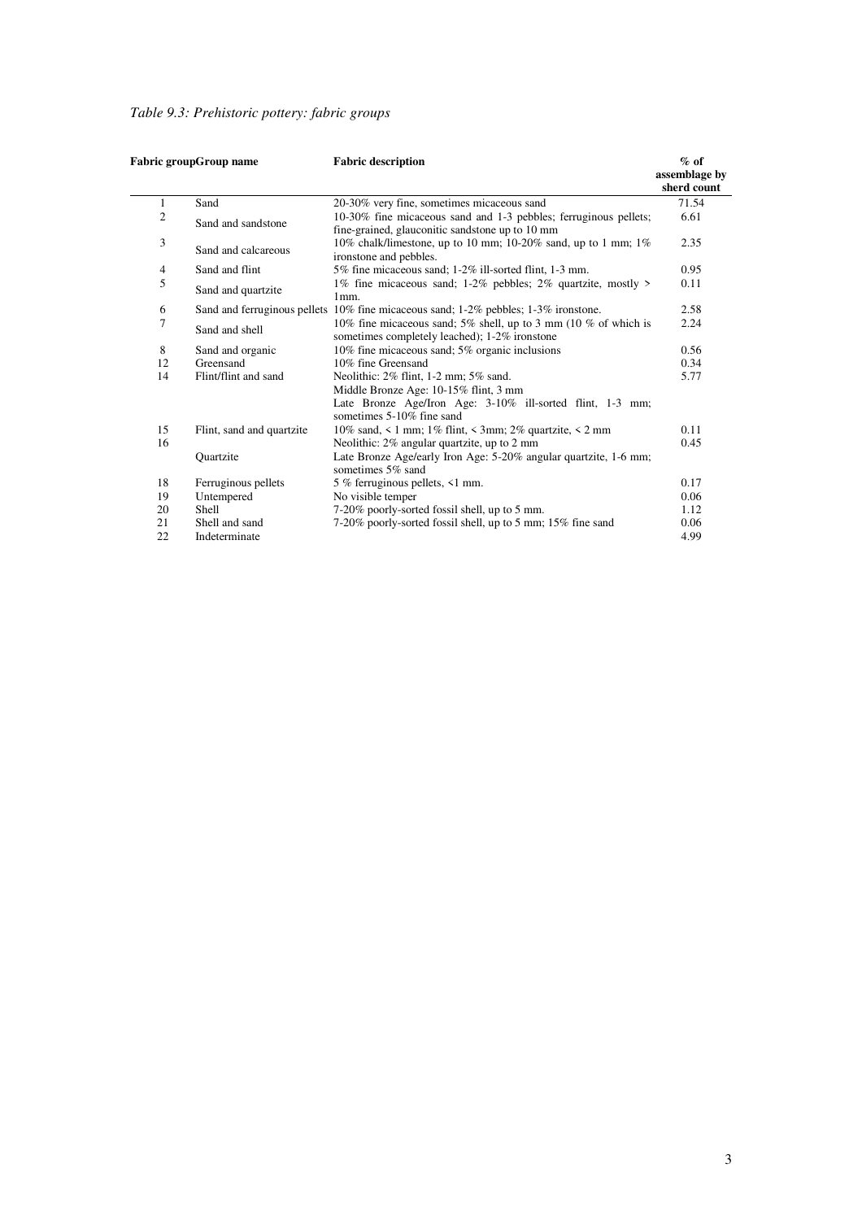*Table 9.3: Prehistoric pottery: fabric groups* 

|              | Fabric groupGroup name    | <b>Fabric description</b>                                                                                           | $%$ of<br>assemblage by<br>sherd count |
|--------------|---------------------------|---------------------------------------------------------------------------------------------------------------------|----------------------------------------|
| $\mathbf{1}$ | Sand                      | 20-30% very fine, sometimes micaceous sand                                                                          | 71.54                                  |
| 2            | Sand and sandstone        | 10-30% fine micaceous sand and 1-3 pebbles; ferruginous pellets;<br>fine-grained, glauconitic sandstone up to 10 mm | 6.61                                   |
| 3            | Sand and calcareous       | 10% chalk/limestone, up to 10 mm; 10-20% sand, up to 1 mm; 1%<br>ironstone and pebbles.                             | 2.35                                   |
| 4            | Sand and flint            | 5% fine micaceous sand; 1-2% ill-sorted flint, 1-3 mm.                                                              | 0.95                                   |
| 5            | Sand and quartzite        | 1% fine micaceous sand; 1-2% pebbles; 2% quartzite, mostly ><br>1mm.                                                | 0.11                                   |
| 6            |                           | Sand and ferruginous pellets 10% fine micaceous sand; 1-2% pebbles; 1-3% ironstone.                                 | 2.58                                   |
| 7            | Sand and shell            | 10% fine micaceous sand; 5% shell, up to 3 mm (10 % of which is<br>sometimes completely leached); 1-2% ironstone    | 2.24                                   |
| 8            | Sand and organic          | 10% fine micaceous sand; 5% organic inclusions                                                                      | 0.56                                   |
| 12           | Greensand                 | 10% fine Greensand                                                                                                  | 0.34                                   |
| 14           | Flint/flint and sand      | Neolithic: 2% flint, 1-2 mm; 5% sand.                                                                               | 5.77                                   |
|              |                           | Middle Bronze Age: 10-15% flint, 3 mm                                                                               |                                        |
|              |                           | Late Bronze Age/Iron Age: 3-10% ill-sorted flint, 1-3 mm;<br>sometimes 5-10% fine sand                              |                                        |
| 15           | Flint, sand and quartzite | 10% sand, $\leq 1$ mm; 1% flint, $\leq 3$ mm; 2% quartzite, $\leq 2$ mm                                             | 0.11                                   |
| 16           |                           | Neolithic: 2% angular quartzite, up to 2 mm                                                                         | 0.45                                   |
|              | Quartzite                 | Late Bronze Age/early Iron Age: 5-20% angular quartzite, 1-6 mm;<br>sometimes 5% sand                               |                                        |
| 18           | Ferruginous pellets       | 5 % ferruginous pellets, <1 mm.                                                                                     | 0.17                                   |
| 19           | Untempered                | No visible temper                                                                                                   | 0.06                                   |
| 20           | Shell                     | 7-20% poorly-sorted fossil shell, up to 5 mm.                                                                       | 1.12                                   |
| 21           | Shell and sand            | 7-20% poorly-sorted fossil shell, up to 5 mm; 15% fine sand                                                         | 0.06                                   |
| 22           | Indeterminate             |                                                                                                                     | 4.99                                   |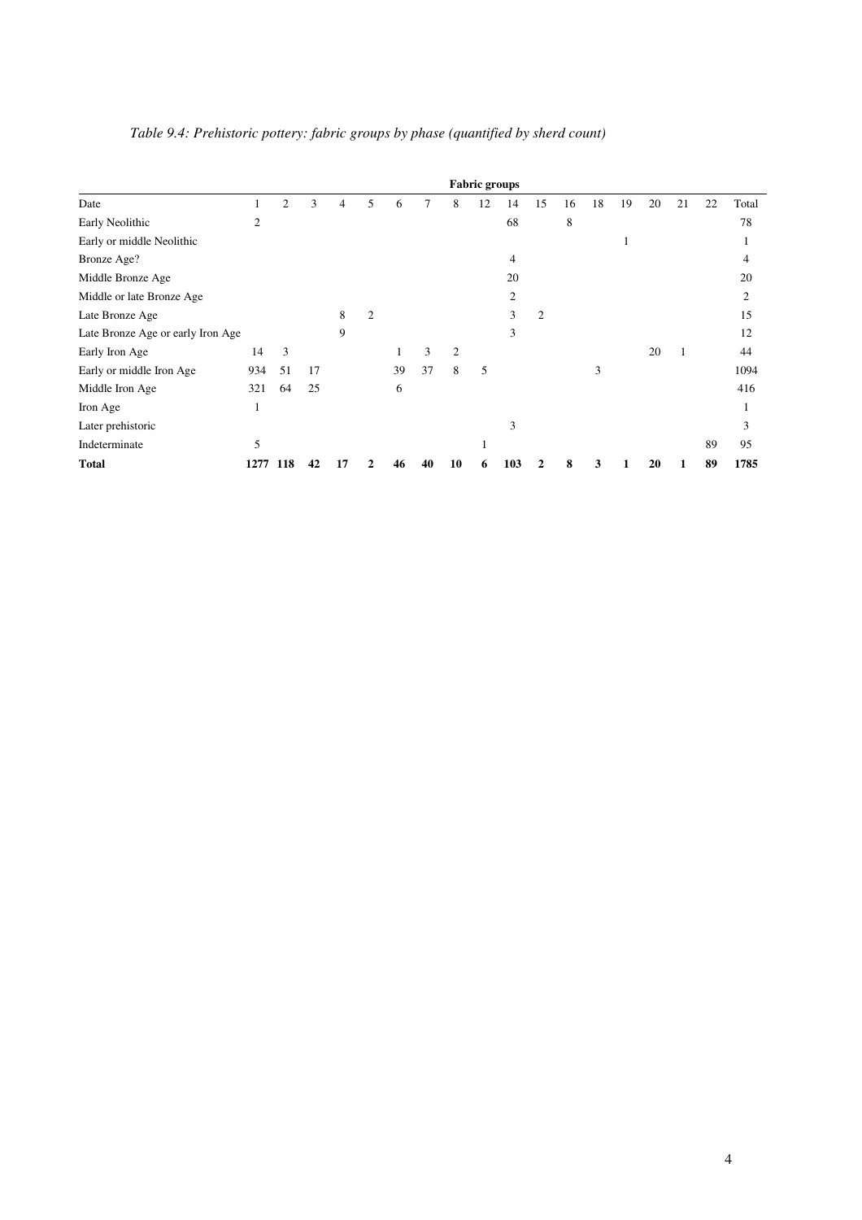|                                   |      |                |    |    |                |    |    |                | <b>Fabric groups</b> |                |                |    |    |    |    |    |    |                |
|-----------------------------------|------|----------------|----|----|----------------|----|----|----------------|----------------------|----------------|----------------|----|----|----|----|----|----|----------------|
| Date                              |      | $\overline{2}$ | 3  | 4  | 5              | 6  |    | 8              | 12                   | 14             | 15             | 16 | 18 | 19 | 20 | 21 | 22 | Total          |
| Early Neolithic                   | 2    |                |    |    |                |    |    |                |                      | 68             |                | 8  |    |    |    |    |    | 78             |
| Early or middle Neolithic         |      |                |    |    |                |    |    |                |                      |                |                |    |    |    |    |    |    |                |
| Bronze Age?                       |      |                |    |    |                |    |    |                |                      | 4              |                |    |    |    |    |    |    | $\overline{4}$ |
| Middle Bronze Age                 |      |                |    |    |                |    |    |                |                      | 20             |                |    |    |    |    |    |    | 20             |
| Middle or late Bronze Age         |      |                |    |    |                |    |    |                |                      | $\overline{c}$ |                |    |    |    |    |    |    | $\overline{2}$ |
| Late Bronze Age                   |      |                |    | 8  | $\mathfrak{2}$ |    |    |                |                      | 3              | $\overline{2}$ |    |    |    |    |    |    | 15             |
| Late Bronze Age or early Iron Age |      |                |    | 9  |                |    |    |                |                      | 3              |                |    |    |    |    |    |    | 12             |
| Early Iron Age                    | 14   | 3              |    |    |                | 1  | 3  | $\overline{2}$ |                      |                |                |    |    |    | 20 |    |    | 44             |
| Early or middle Iron Age          | 934  | 51             | 17 |    |                | 39 | 37 | 8              | 5                    |                |                |    | 3  |    |    |    |    | 1094           |
| Middle Iron Age                   | 321  | 64             | 25 |    |                | 6  |    |                |                      |                |                |    |    |    |    |    |    | 416            |
| Iron Age                          | 1    |                |    |    |                |    |    |                |                      |                |                |    |    |    |    |    |    | -              |
| Later prehistoric                 |      |                |    |    |                |    |    |                |                      | 3              |                |    |    |    |    |    |    | 3              |
| Indeterminate                     | 5    |                |    |    |                |    |    |                |                      |                |                |    |    |    |    |    | 89 | 95             |
| <b>Total</b>                      | 1277 | 118            | 42 | 17 |                |    | 40 | 10             |                      | 103            | 2              | 8  | 3  |    | 20 |    | 89 | 1785           |

*Table 9.4: Prehistoric pottery: fabric groups by phase (quantified by sherd count)*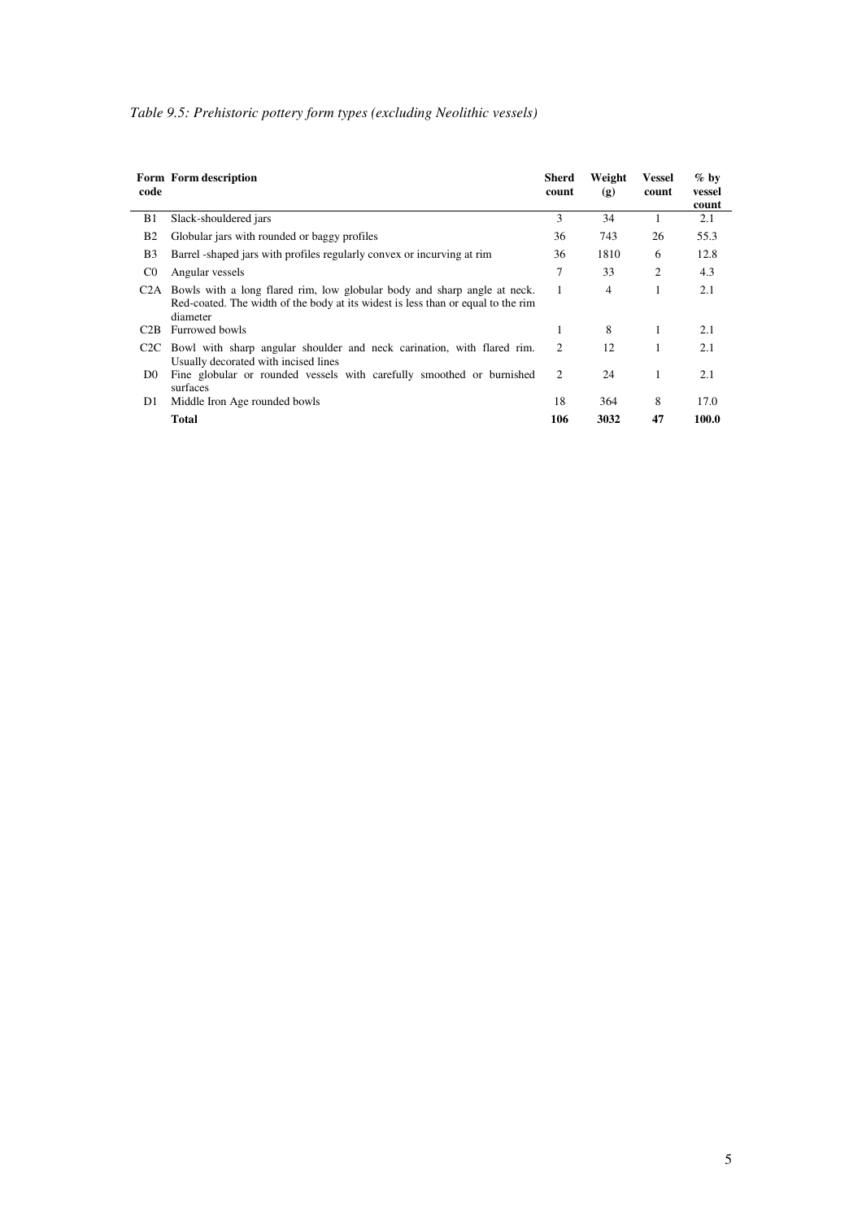|  |  |  | Table 9.5: Prehistoric pottery form types (excluding Neolithic vessels) |
|--|--|--|-------------------------------------------------------------------------|
|--|--|--|-------------------------------------------------------------------------|

| code             | Form Form description                                                                                                                                                                     | Sherd<br>count | Weight<br>(g) | <b>Vessel</b><br>count | $\%$ by<br>vessel<br>count |
|------------------|-------------------------------------------------------------------------------------------------------------------------------------------------------------------------------------------|----------------|---------------|------------------------|----------------------------|
| B1               | Slack-shouldered jars                                                                                                                                                                     | 3              | 34            |                        | 2.1                        |
| <b>B2</b>        | Globular jars with rounded or baggy profiles                                                                                                                                              | 36             | 743           | 26                     | 55.3                       |
| B <sub>3</sub>   | Barrel -shaped jars with profiles regularly convex or incurving at rim                                                                                                                    | 36             | 1810          | 6                      | 12.8                       |
| $_{\rm CO}$      | Angular vessels                                                                                                                                                                           | 7              | 33            | 2                      | 4.3                        |
|                  | C <sub>2</sub> A Bowls with a long flared rim, low globular body and sharp angle at neck.<br>Red-coated. The width of the body at its widest is less than or equal to the rim<br>diameter | 1              | 4             | 1                      | 2.1                        |
| C <sub>2</sub> B | Furrowed bowls                                                                                                                                                                            | 1              | 8             |                        | 2.1                        |
|                  | C <sub>2</sub> C Bowl with sharp angular shoulder and neck carination, with flared rim.<br>Usually decorated with incised lines                                                           | 2              | 12            |                        | 2.1                        |
| D <sub>0</sub>   | Fine globular or rounded vessels with carefully smoothed or burnished<br>surfaces                                                                                                         | 2              | 24            |                        | 2.1                        |
| D1               | Middle Iron Age rounded bowls                                                                                                                                                             | 18             | 364           | 8                      | 17.0                       |
|                  | <b>Total</b>                                                                                                                                                                              | 106            | 3032          | 47                     | 100.0                      |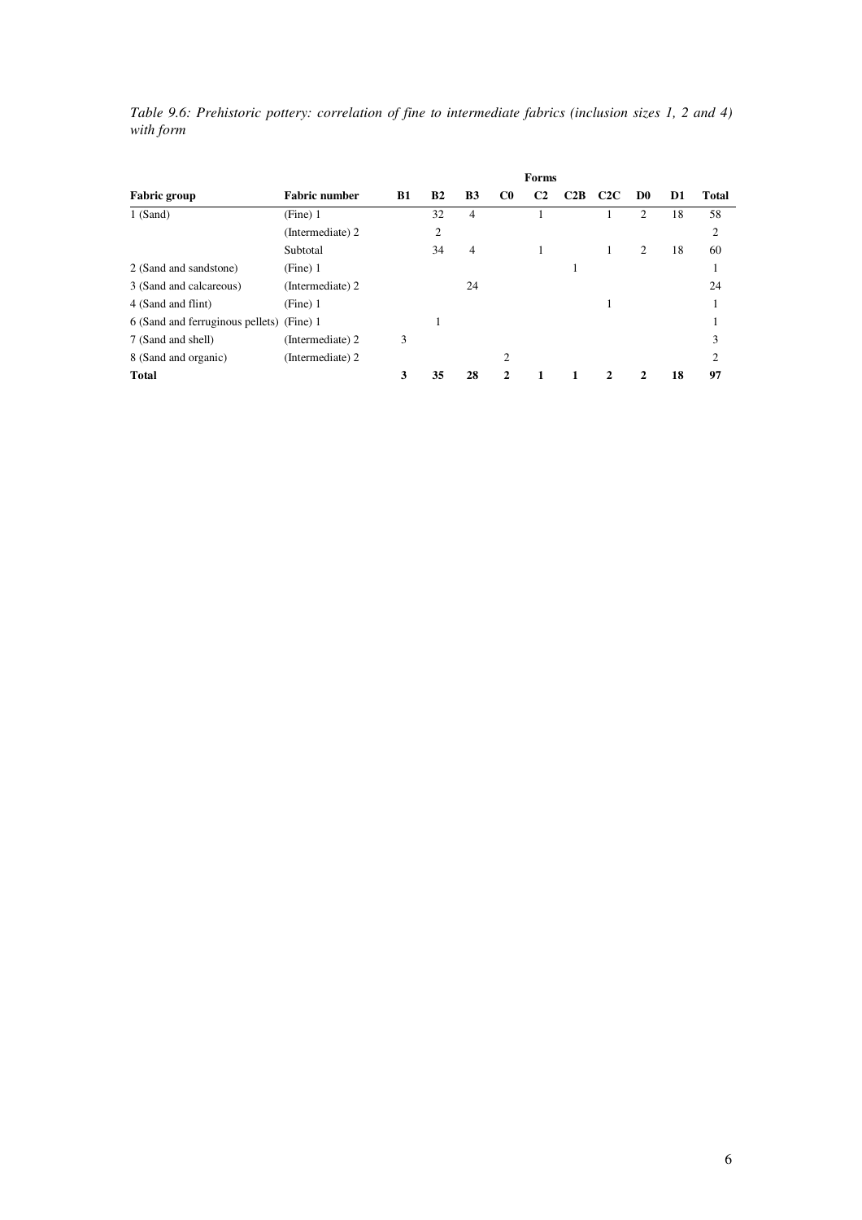|           |  |  | Table 9.6: Prehistoric pottery: correlation of fine to intermediate fabrics (inclusion sizes 1, 2 and 4) |  |  |  |
|-----------|--|--|----------------------------------------------------------------------------------------------------------|--|--|--|
| with form |  |  |                                                                                                          |  |  |  |

|                                           | Forms                |           |                |                |                |                |     |               |                |    |                |
|-------------------------------------------|----------------------|-----------|----------------|----------------|----------------|----------------|-----|---------------|----------------|----|----------------|
| <b>Fabric group</b>                       | <b>Fabric number</b> | <b>B1</b> | B <sub>2</sub> | <b>B3</b>      | C <sub>0</sub> | C <sub>2</sub> | C2B | C2C           | D <sub>0</sub> | D1 | Total          |
| $1$ (Sand)                                | (Fine) 1             |           | 32             | 4              |                |                |     |               | $\overline{c}$ | 18 | 58             |
|                                           | (Intermediate) 2     |           | 2              |                |                |                |     |               |                |    | $\overline{2}$ |
|                                           | Subtotal             |           | 34             | $\overline{4}$ |                |                |     |               | 2              | 18 | 60             |
| 2 (Sand and sandstone)                    | (Fine) 1             |           |                |                |                |                |     |               |                |    |                |
| 3 (Sand and calcareous)                   | (Intermediate) 2     |           |                | 24             |                |                |     |               |                |    | 24             |
| 4 (Sand and flint)                        | (Fine) 1             |           |                |                |                |                |     |               |                |    |                |
| 6 (Sand and ferruginous pellets) (Fine) 1 |                      |           |                |                |                |                |     |               |                |    |                |
| 7 (Sand and shell)                        | (Intermediate) 2     | 3         |                |                |                |                |     |               |                |    | 3              |
| 8 (Sand and organic)                      | (Intermediate) 2     |           |                |                | 2              |                |     |               |                |    | $\overline{c}$ |
| <b>Total</b>                              |                      | 3         | 35             | 28             | $\mathcal{L}$  |                |     | $\mathcal{D}$ |                | 18 | 97             |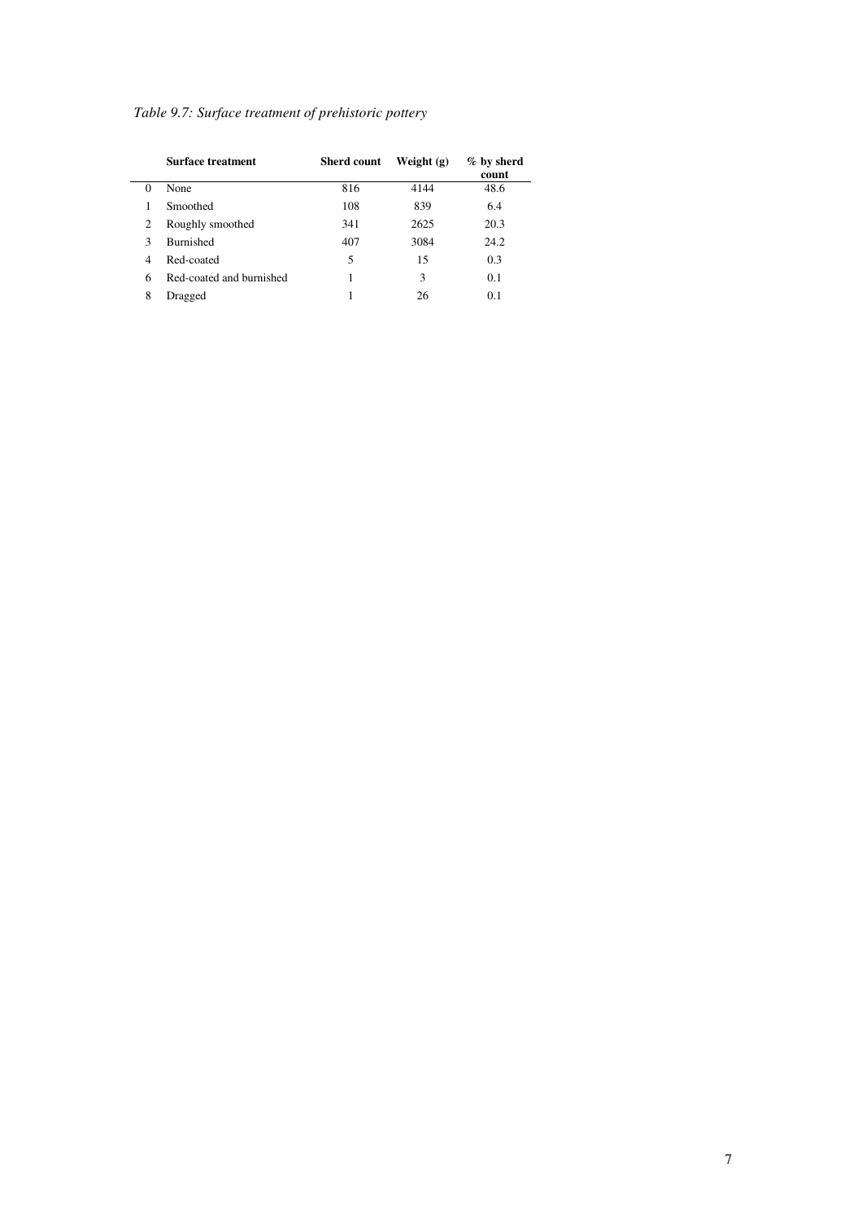|  | Table 9.7: Surface treatment of prehistoric pottery |  |
|--|-----------------------------------------------------|--|
|  |                                                     |  |

|          | Surface treatment        | <b>Sherd count</b> | Weight $(g)$ | $%$ by sherd<br>count |
|----------|--------------------------|--------------------|--------------|-----------------------|
| $\Omega$ | None                     | 816                | 4144         | 48.6                  |
|          | Smoothed                 | 108                | 839          | 6.4                   |
| 2        | Roughly smoothed         | 341                | 2625         | 20.3                  |
| 3        | <b>Burnished</b>         | 407                | 3084         | 24.2                  |
| 4        | Red-coated               | 5                  | 15           | 0.3                   |
| 6        | Red-coated and burnished |                    | 3            | 0.1                   |
| 8        | Dragged                  |                    | 26           | 0.1                   |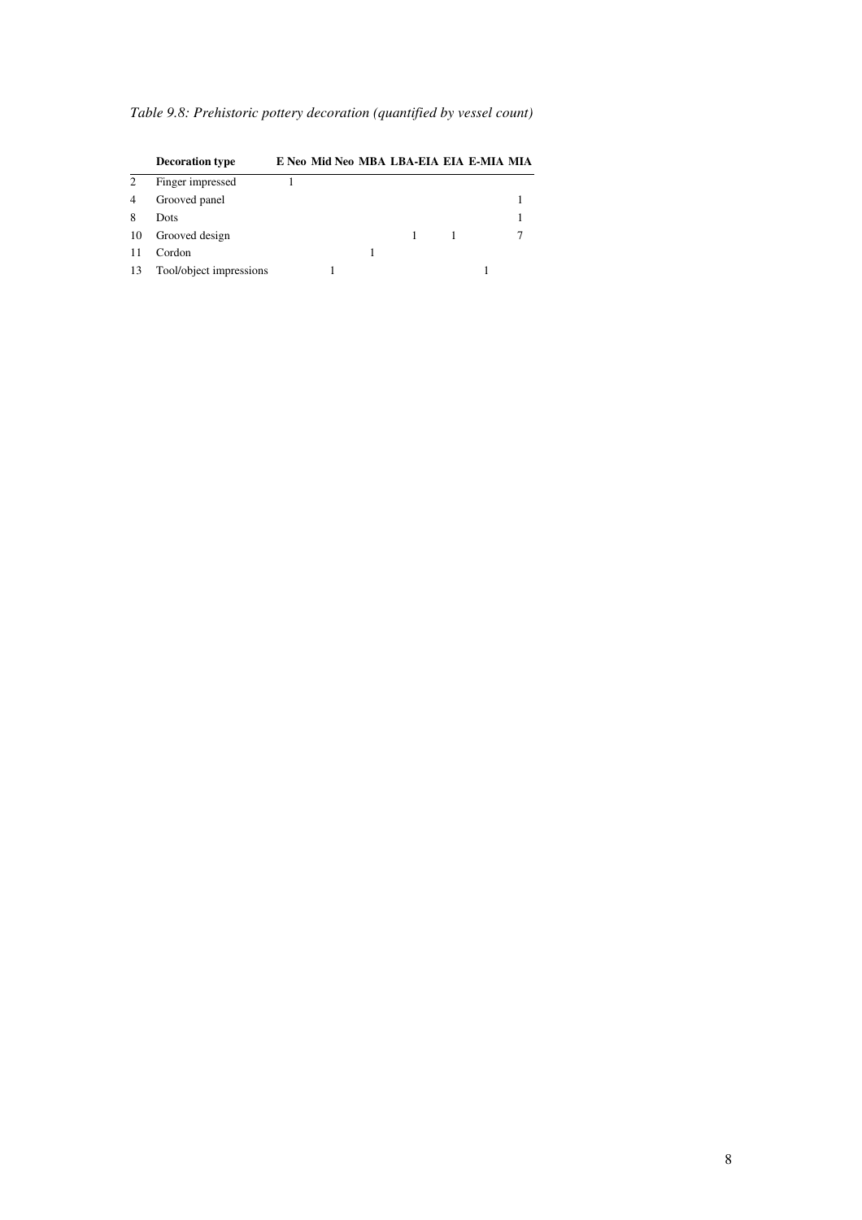| Table 9.8: Prehistoric pottery decoration (quantified by vessel count) |  |  |
|------------------------------------------------------------------------|--|--|
|                                                                        |  |  |

|                | <b>Decoration type</b>  | E Neo Mid Neo MBA LBA-EIA EIA E-MIA MIA |  |  |  |
|----------------|-------------------------|-----------------------------------------|--|--|--|
| 2              | Finger impressed        |                                         |  |  |  |
| $\overline{4}$ | Grooved panel           |                                         |  |  |  |
| 8              | Dots                    |                                         |  |  |  |
| 10             | Grooved design          |                                         |  |  |  |
| 11             | Cordon                  |                                         |  |  |  |
| 13             | Tool/object impressions |                                         |  |  |  |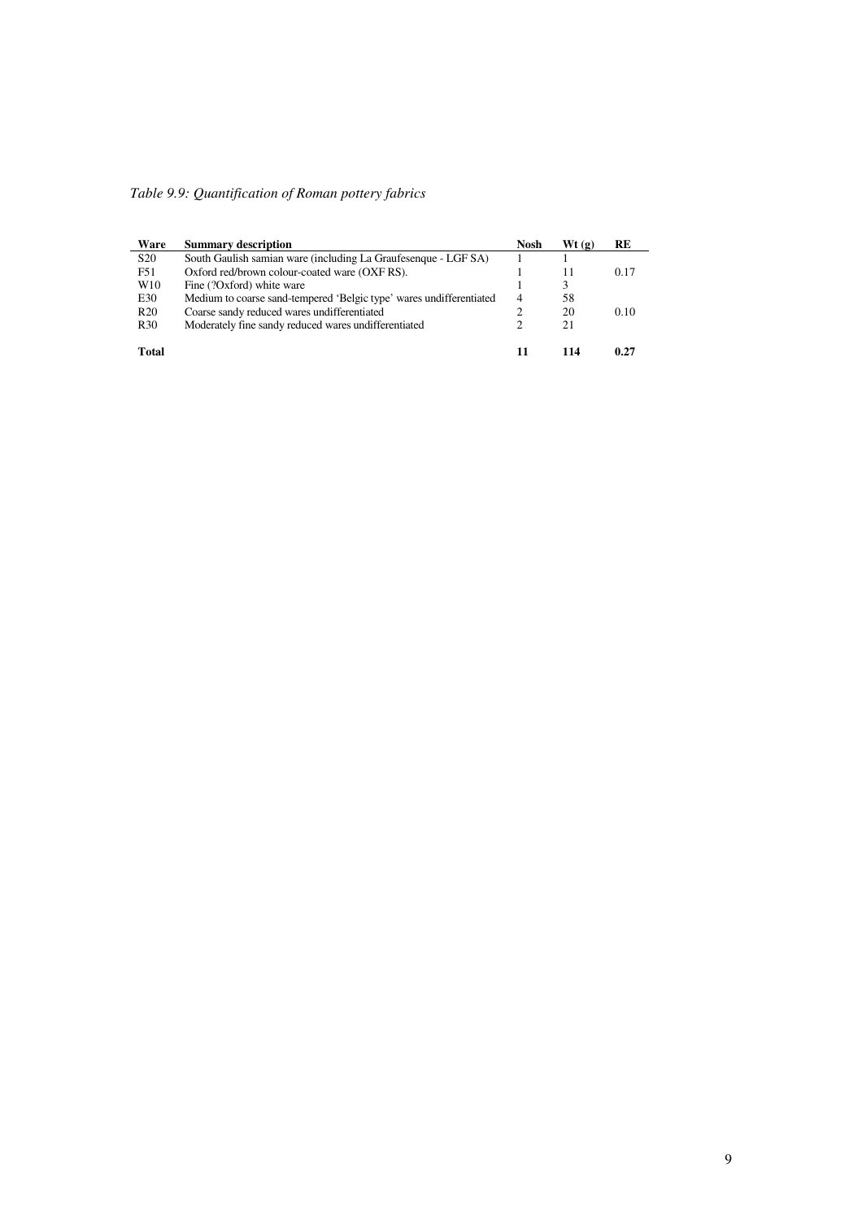| Table 9.9: Quantification of Roman pottery fabrics |  |
|----------------------------------------------------|--|

| Ware            | <b>Summary description</b>                                          | Nosh           | Wt(g) | RE   |
|-----------------|---------------------------------------------------------------------|----------------|-------|------|
| S <sub>20</sub> | South Gaulish samian ware (including La Graufesenque - LGF SA)      |                |       |      |
| F51             | Oxford red/brown colour-coated ware (OXF RS).                       |                | 11    | 0.17 |
| W <sub>10</sub> | Fine (?Oxford) white ware                                           |                | 3     |      |
| E30             | Medium to coarse sand-tempered 'Belgic type' wares undifferentiated | $\overline{4}$ | 58    |      |
| R <sub>20</sub> | Coarse sandy reduced wares undifferentiated                         | 2              | 20    | 0.10 |
| R <sub>30</sub> | Moderately fine sandy reduced wares undifferentiated                |                | 21    |      |
| <b>Total</b>    |                                                                     | 11             | 114   | 0.27 |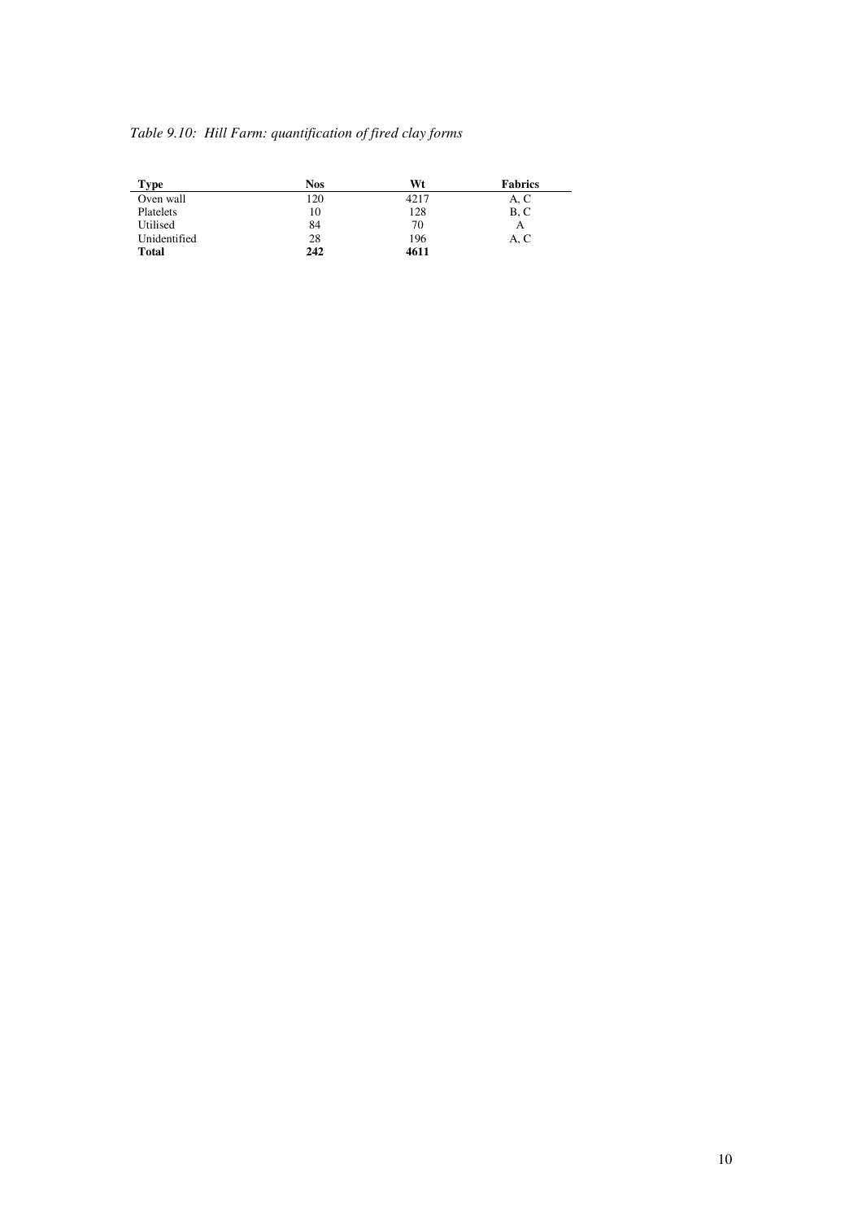## *Table 9.10: Hill Farm: quantification of fired clay forms*

| Type         | <b>Nos</b> | Wt   | <b>Fabrics</b> |
|--------------|------------|------|----------------|
| Oven wall    | 120        | 4217 | A, C           |
| Platelets    | 10         | 128  | B, C           |
| Utilised     | 84         | 70   | А              |
| Unidentified | 28         | 196  | A, C           |
| <b>Total</b> | 242        | 4611 |                |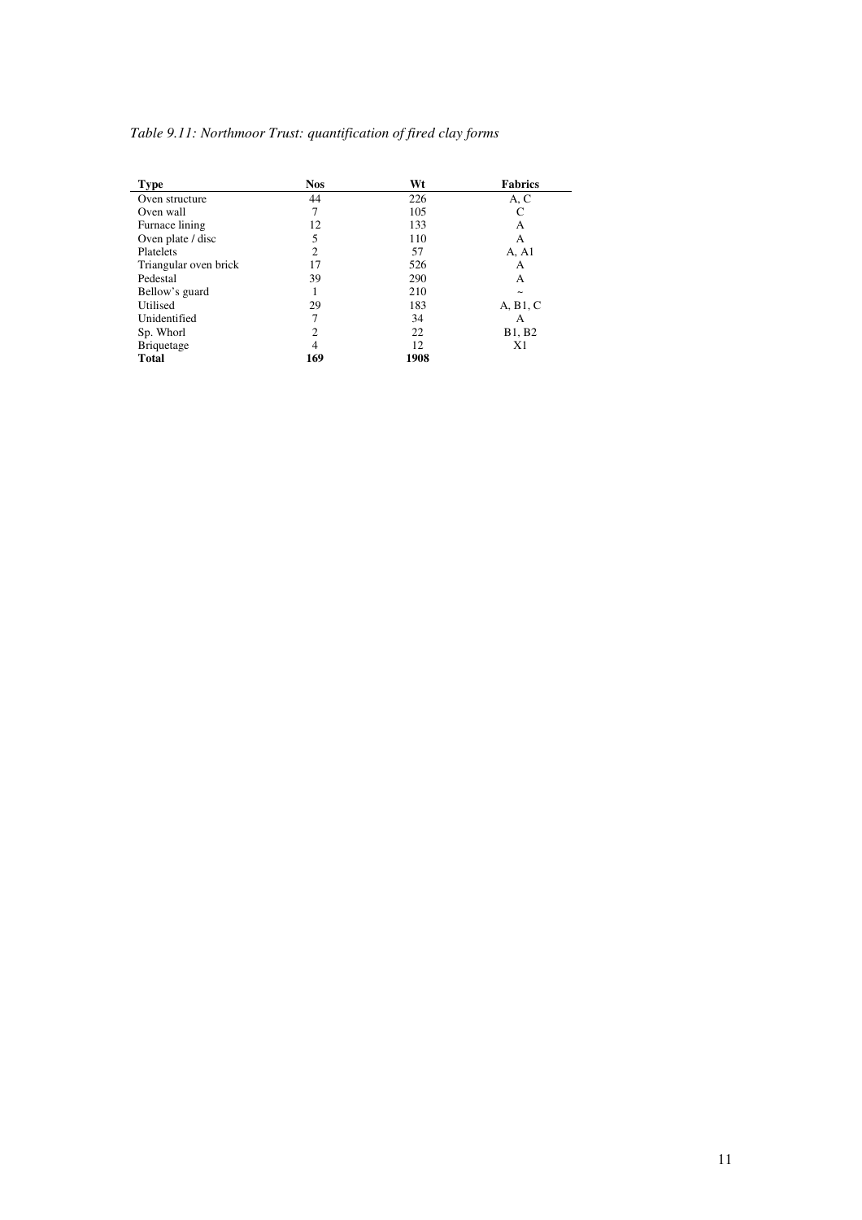## *Table 9.11: Northmoor Trust: quantification of fired clay forms*

| <b>Type</b>           | <b>Nos</b>     | Wt   | <b>Fabrics</b>        |
|-----------------------|----------------|------|-----------------------|
| Oven structure        | 44             | 226  | A, C                  |
| Oven wall             | 7              | 105  | C                     |
| Furnace lining        | 12             | 133  | А                     |
| Oven plate / disc     | 5              | 110  | A                     |
| Platelets             | $\overline{c}$ | 57   | A, A1                 |
| Triangular oven brick | 17             | 526  | А                     |
| Pedestal              | 39             | 290  | A                     |
| Bellow's guard        |                | 210  | $\tilde{\phantom{a}}$ |
| Utilised              | 29             | 183  | A, B1, C              |
| Unidentified          | 7              | 34   | A                     |
| Sp. Whorl             | $\overline{c}$ | 22   | B1, B2                |
| <b>Briquetage</b>     | 4              | 12   | X <sub>1</sub>        |
| <b>Total</b>          | 169            | 1908 |                       |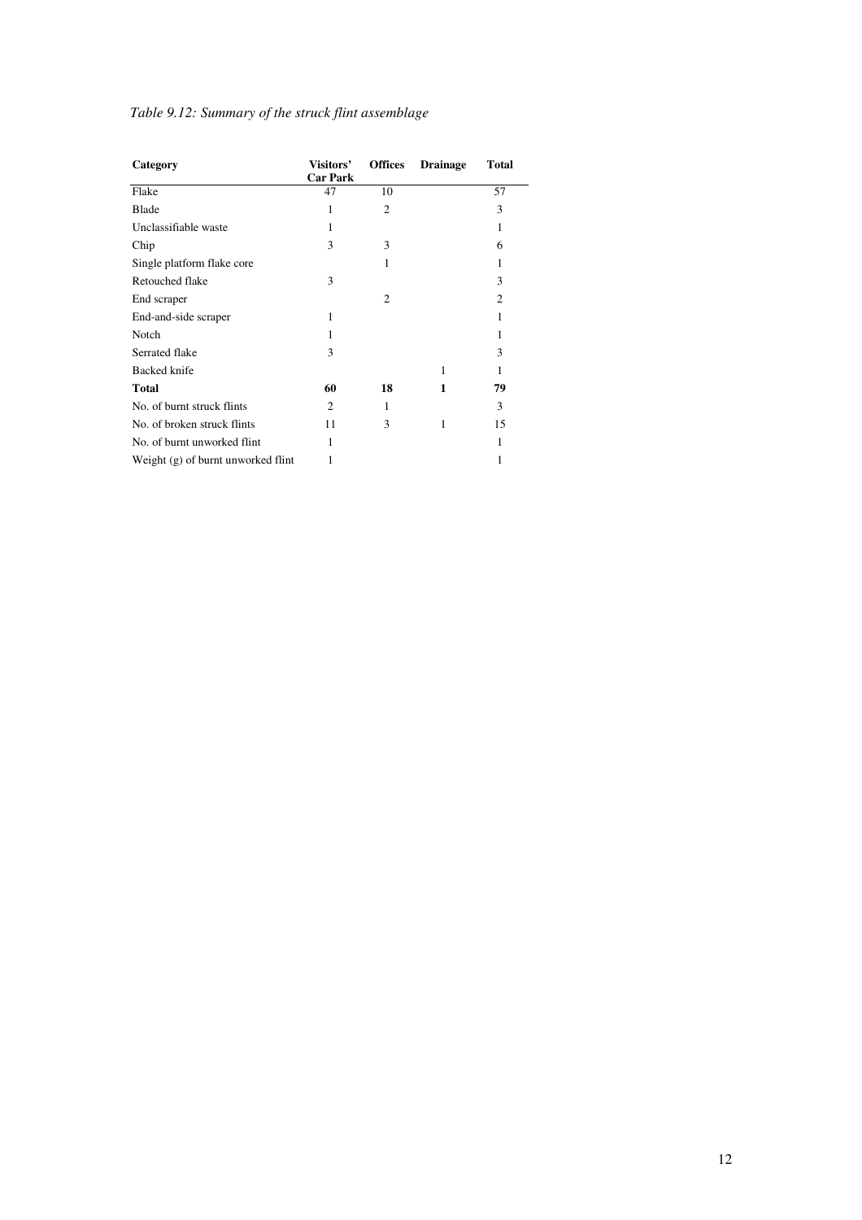# *Table 9.12: Summary of the struck flint assemblage*

| Category                           | Visitors'<br><b>Car Park</b> | <b>Offices</b> | <b>Drainage</b> | <b>Total</b>   |
|------------------------------------|------------------------------|----------------|-----------------|----------------|
| Flake                              | 47                           | 10             |                 | 57             |
| Blade                              | 1                            | $\overline{2}$ |                 | 3              |
| Unclassifiable waste               | 1                            |                |                 | 1              |
| Chip                               | 3                            | 3              |                 | 6              |
| Single platform flake core         |                              | 1              |                 | 1              |
| Retouched flake                    | 3                            |                |                 | 3              |
| End scraper                        |                              | $\overline{2}$ |                 | $\overline{c}$ |
| End-and-side scraper               | 1                            |                |                 | 1              |
| Notch                              | 1                            |                |                 | 1              |
| Serrated flake                     | 3                            |                |                 | 3              |
| <b>Backed knife</b>                |                              |                | 1               | 1              |
| <b>Total</b>                       | 60                           | 18             | 1               | 79             |
| No. of burnt struck flints         | 2                            | 1              |                 | 3              |
| No. of broken struck flints        | 11                           | 3              |                 | 15             |
| No. of burnt unworked flint        |                              |                |                 | 1              |
| Weight (g) of burnt unworked flint |                              |                |                 | 1              |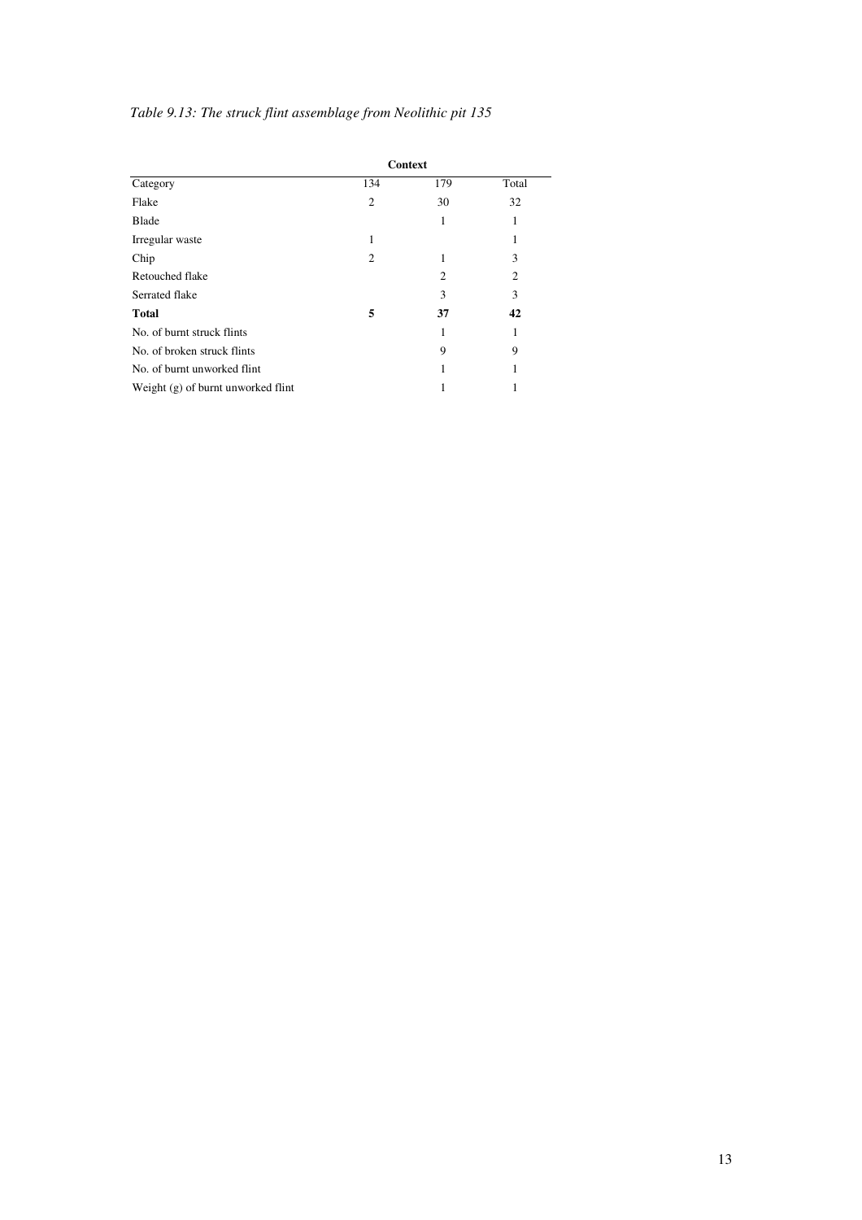# *Table 9.13: The struck flint assemblage from Neolithic pit 135*

|                                      |                | <b>Context</b> |                |
|--------------------------------------|----------------|----------------|----------------|
| Category                             | 134            | 179            | Total          |
| Flake                                | $\overline{2}$ | 30             | 32             |
| Blade                                |                | 1              | 1              |
| Irregular waste                      | 1              |                | 1              |
| Chip                                 | 2              |                | 3              |
| Retouched flake                      |                | $\overline{c}$ | $\overline{2}$ |
| Serrated flake                       |                | 3              | 3              |
| <b>Total</b>                         | 5              | 37             | 42             |
| No. of burnt struck flints           |                |                | 1              |
| No. of broken struck flints          |                | 9              | 9              |
| No. of burnt unworked flint          |                |                | 1              |
| Weight $(g)$ of burnt unworked flint |                |                |                |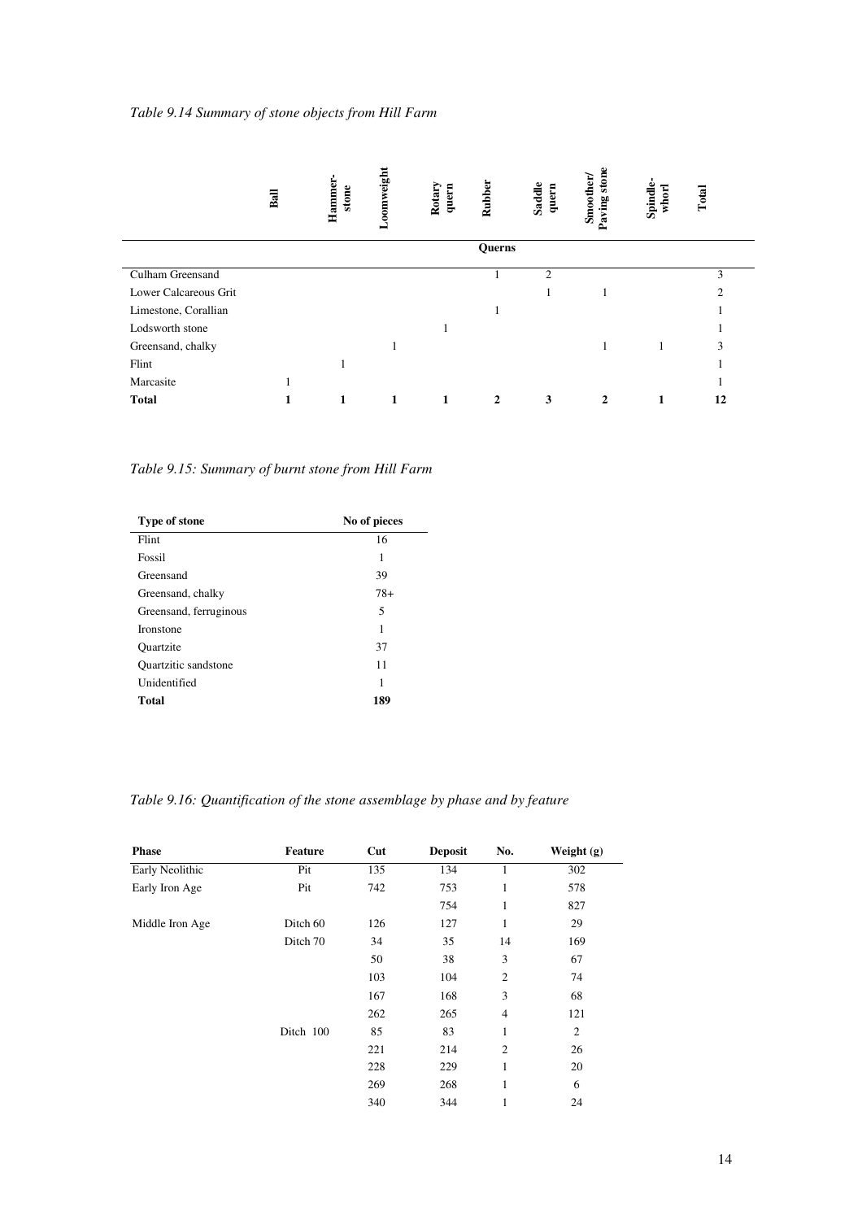|                       | Ball | Hammer<br>stone | Loomweight | Rotary<br>quern | Rubber        | Saddle<br>quern | stone<br>Smoother/<br>Paving | Spindle-<br>whorl | Total         |
|-----------------------|------|-----------------|------------|-----------------|---------------|-----------------|------------------------------|-------------------|---------------|
|                       |      |                 |            |                 | <b>Querns</b> |                 |                              |                   |               |
| Culham Greensand      |      |                 |            |                 |               | $\overline{c}$  |                              |                   | 3             |
| Lower Calcareous Grit |      |                 |            |                 |               | 1               |                              |                   | $\mathcal{D}$ |
| Limestone, Corallian  |      |                 |            |                 |               |                 |                              |                   |               |
| Lodsworth stone       |      |                 |            |                 |               |                 |                              |                   |               |
| Greensand, chalky     |      |                 |            |                 |               |                 |                              |                   | 3             |
| Flint                 |      |                 |            |                 |               |                 |                              |                   |               |
| Marcasite             |      |                 |            |                 |               |                 |                              |                   |               |
| <b>Total</b>          | 1    | 1               | 1          |                 | $\mathbf{2}$  | 3               | 2                            |                   | 12            |

*Table 9.15: Summary of burnt stone from Hill Farm* 

| <b>Type of stone</b>   | No of pieces |
|------------------------|--------------|
| Flint                  | 16           |
| Fossil                 | 1            |
| Greensand              | 39           |
| Greensand, chalky      | $78+$        |
| Greensand, ferruginous | 5            |
| <b>Ironstone</b>       | 1            |
| <b>Quartzite</b>       | 37           |
| Quartzitic sandstone   | 11           |
| Unidentified           | 1            |
| <b>Total</b>           | 189          |

*Table 9.16: Quantification of the stone assemblage by phase and by feature* 

| <b>Phase</b>    | <b>Feature</b> | Cut | <b>Deposit</b> | No.            | Weight $(g)$   |
|-----------------|----------------|-----|----------------|----------------|----------------|
| Early Neolithic | Pit            | 135 | 134            |                | 302            |
| Early Iron Age  | Pit            | 742 | 753            | 1              | 578            |
|                 |                |     | 754            | 1              | 827            |
| Middle Iron Age | Ditch 60       | 126 | 127            | 1              | 29             |
|                 | Ditch 70       | 34  | 35             | 14             | 169            |
|                 |                | 50  | 38             | 3              | 67             |
|                 |                | 103 | 104            | $\mathfrak{2}$ | 74             |
|                 |                | 167 | 168            | 3              | 68             |
|                 |                | 262 | 265            | $\overline{4}$ | 121            |
|                 | Ditch 100      | 85  | 83             | 1              | $\mathfrak{2}$ |
|                 |                | 221 | 214            | $\overline{c}$ | 26             |
|                 |                | 228 | 229            | 1              | 20             |
|                 |                | 269 | 268            | 1              | 6              |
|                 |                | 340 | 344            | 1              | 24             |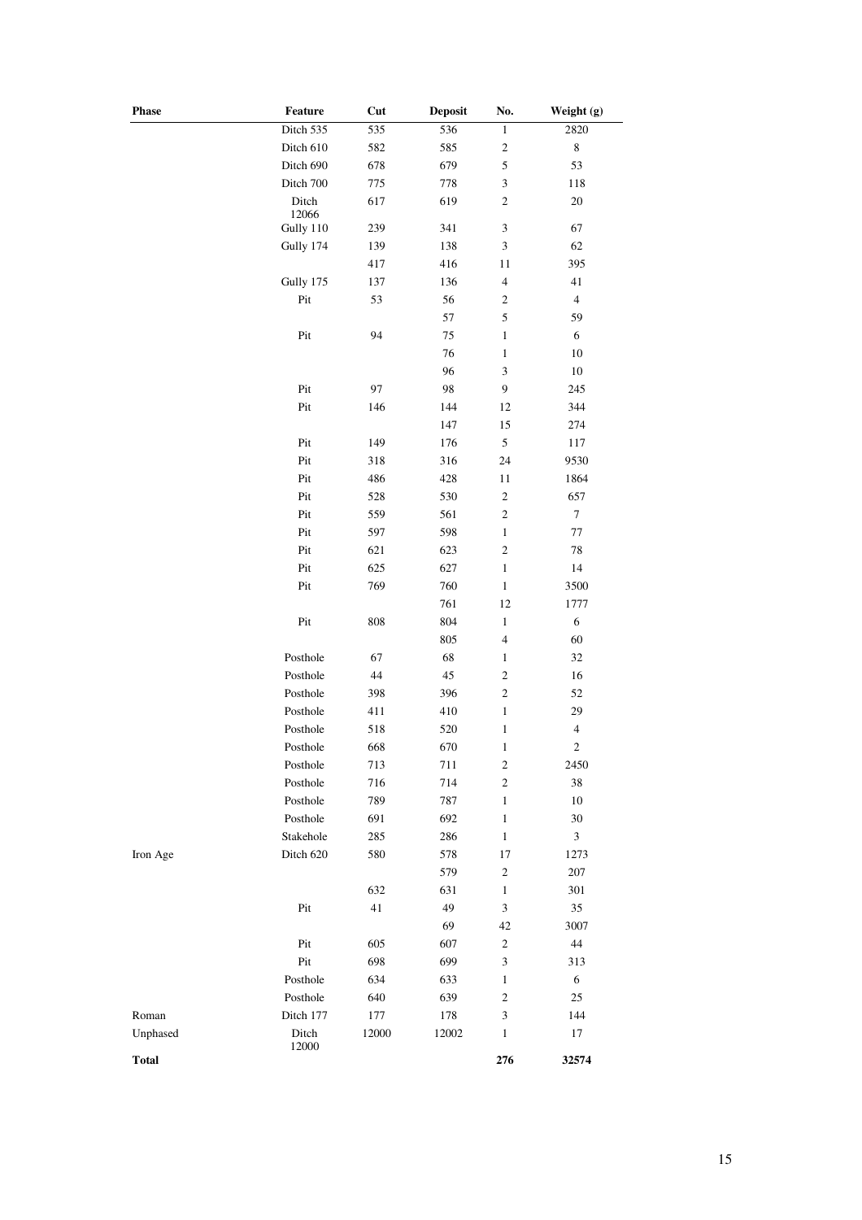| Phase    | Feature        | Cut     | <b>Deposit</b> | No.                         | Weight (g)                  |
|----------|----------------|---------|----------------|-----------------------------|-----------------------------|
|          | Ditch 535      | 535     | 536            | 1                           | 2820                        |
|          | Ditch 610      | 582     | 585            | $\overline{\mathbf{c}}$     | $\,$ 8 $\,$                 |
|          | Ditch 690      | 678     | 679            | 5                           | 53                          |
|          | Ditch 700      | 775     | 778            | 3                           | 118                         |
|          | Ditch<br>12066 | 617     | 619            | $\sqrt{2}$                  | $20\,$                      |
|          | Gully 110      | 239     | 341            | $\ensuremath{\mathfrak{Z}}$ | 67                          |
|          | Gully 174      | 139     | 138            | 3                           | 62                          |
|          |                | 417     | 416            | 11                          | 395                         |
|          | Gully 175      | 137     | 136            | $\overline{4}$              | 41                          |
|          | Pit            | 53      | 56             | $\boldsymbol{2}$            | $\overline{\mathbf{4}}$     |
|          |                |         | 57             | 5                           | 59                          |
|          | Pit            | 94      | 75             | $\mathbf{1}$                | 6                           |
|          |                |         | 76             | $\mathbf{1}$                | $10\,$                      |
|          |                |         | 96             | 3                           | $10\,$                      |
|          | Pit            | 97      | 98             | 9                           | 245                         |
|          | Pit            | 146     | 144            | 12                          | 344                         |
|          |                |         | 147            | 15                          | 274                         |
|          | Pit            | 149     | 176            | $\mathfrak s$               | 117                         |
|          | Pit            | 318     | 316            | 24                          | 9530                        |
|          | Pit            | 486     | 428            | 11                          | 1864                        |
|          | Pit            | 528     | 530            | $\overline{\mathbf{c}}$     | 657                         |
|          | Pit            | 559     | 561            | $\sqrt{2}$                  | $\boldsymbol{7}$            |
|          | Pit            | 597     | 598            | 1                           | $77\,$                      |
|          | Pit            | 621     | 623            | $\mathbf{2}$                | $78\,$                      |
|          | Pit            | 625     | 627            | $\mathbf{1}$                | 14                          |
|          | Pit            | 769     | 760            | $\,1$                       | 3500                        |
|          |                |         | 761            | 12                          | 1777                        |
|          |                |         |                | $\mathbf{1}$                | 6                           |
|          | Pit            | 808     | 804            | $\overline{4}$              |                             |
|          |                |         | 805            |                             | 60                          |
|          | Posthole       | 67      | 68             | $\,1$                       | 32                          |
|          | Posthole       | 44      | 45             | $\sqrt{2}$                  | 16                          |
|          | Posthole       | 398     | 396            | $\sqrt{2}$                  | 52                          |
|          | Posthole       | 411     | 410            | $\mathbf{1}$                | 29                          |
|          | Posthole       | 518     | 520            | $\mathbf{1}$                | $\overline{4}$              |
|          | Posthole       | 668     | 670            | $\mathbf{1}$                | $\overline{c}$              |
|          | Posthole       | 713     | 711            | $\sqrt{2}$                  | 2450                        |
|          | Posthole       | 716     | 714            | $\boldsymbol{2}$            | 38                          |
|          | Posthole       | 789     | 787            | $\mathbf{1}$                | 10                          |
|          | Posthole       | 691     | 692            | $\mathbf{1}$                | $30\,$                      |
|          | Stakehole      | 285     | 286            | $\mathbf{1}$                | $\ensuremath{\mathfrak{Z}}$ |
| Iron Age | Ditch 620      | 580     | 578            | 17                          | 1273                        |
|          |                |         | 579            | $\sqrt{2}$                  | 207                         |
|          |                | 632     | 631            | $\mathbf{1}$                | 301                         |
|          | Pit            | 41      | 49             | 3                           | 35                          |
|          |                |         | 69             | 42                          | 3007                        |
|          | Pit            | 605     | 607            | $\boldsymbol{2}$            | $44\,$                      |
|          | Pit            | 698     | 699            | 3                           | 313                         |
|          | Posthole       | 634     | 633            | $\mathbf{1}$                | 6                           |
|          | Posthole       | 640     | 639            | $\mathfrak{2}$              | 25                          |
| Roman    | Ditch 177      | $177\,$ | 178            | 3                           | 144                         |
|          | Ditch          | 12000   | 12002          | $\mathbf{1}$                | 17                          |
| Unphased | 12000          |         |                |                             |                             |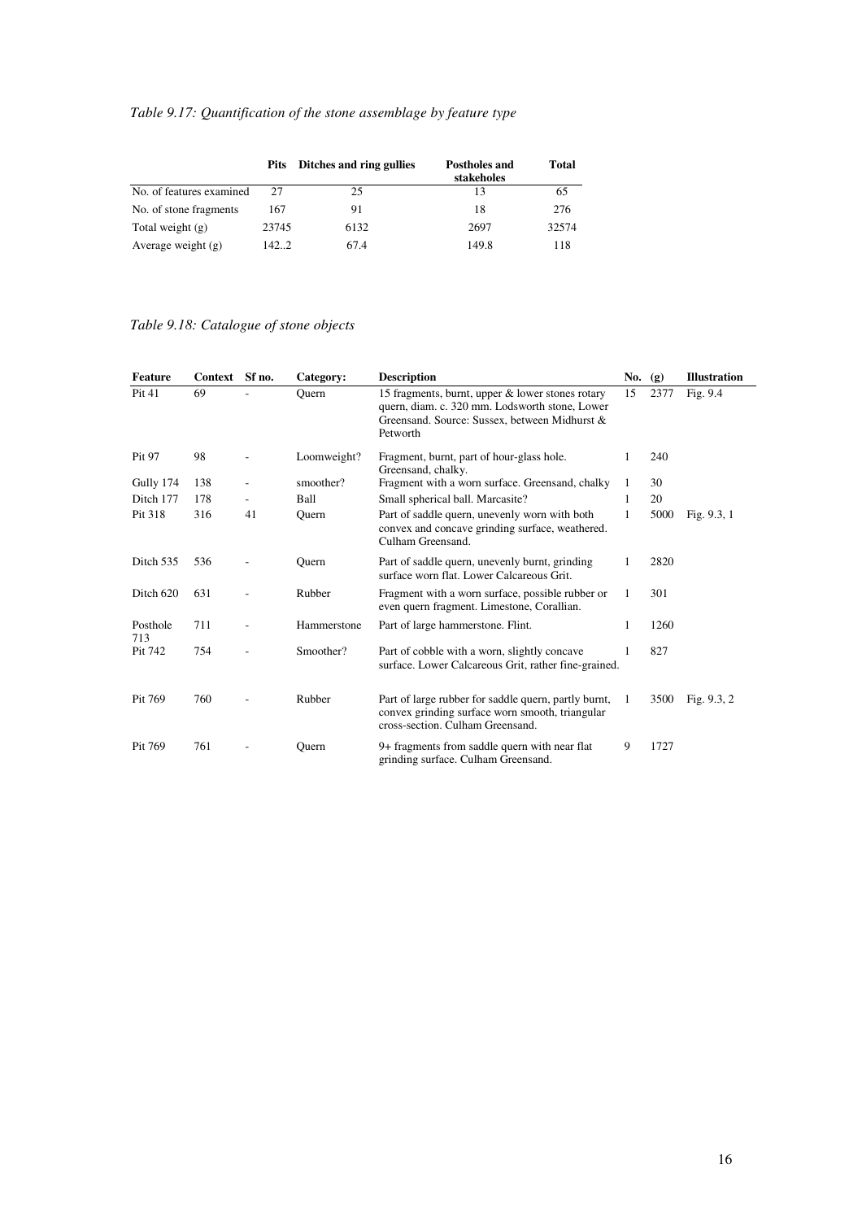# *Table 9.17: Quantification of the stone assemblage by feature type*

|                          | <b>Pits</b> | Ditches and ring gullies | Postholes and<br>stakeholes | Total |
|--------------------------|-------------|--------------------------|-----------------------------|-------|
| No. of features examined | 27          | 25                       | 13                          | 65    |
| No. of stone fragments   | 167         | 91                       | 18                          | 276   |
| Total weight $(g)$       | 23745       | 6132                     | 2697                        | 32574 |
| Average weight $(g)$     | 1422        | 67.4                     | 149.8                       | 118   |

#### *Table 9.18: Catalogue of stone objects*

| Feature         | Context Sf no.<br><b>Description</b><br>Category: |    |             | No. $(g)$                                                                                                                                                       |    | <b>Illustration</b> |               |
|-----------------|---------------------------------------------------|----|-------------|-----------------------------------------------------------------------------------------------------------------------------------------------------------------|----|---------------------|---------------|
| Pit 41          | 69                                                |    | Ouern       | 15 fragments, burnt, upper & lower stones rotary<br>quern, diam. c. 320 mm. Lodsworth stone, Lower<br>Greensand. Source: Sussex, between Midhurst &<br>Petworth |    | 2377                | Fig. 9.4      |
| Pit 97          | 98                                                |    | Loomweight? | Fragment, burnt, part of hour-glass hole.<br>Greensand, chalky.                                                                                                 |    | 240                 |               |
| Gully 174       | 138                                               |    | smoother?   | Fragment with a worn surface. Greensand, chalky                                                                                                                 |    | 30                  |               |
| Ditch 177       | 178                                               |    | Ball        | Small spherical ball. Marcasite?                                                                                                                                | 1. | 20                  |               |
| Pit 318         | 316                                               | 41 | Ouern       | Part of saddle quern, unevenly worn with both<br>convex and concave grinding surface, weathered.<br>Culham Greensand.                                           | 1  | 5000                | Fig. $9.3, 1$ |
| Ditch 535       | 536                                               |    | Ouern       | Part of saddle quern, unevenly burnt, grinding<br>surface worn flat. Lower Calcareous Grit.                                                                     |    | 2820                |               |
| Ditch 620       | 631                                               |    | Rubber      | Fragment with a worn surface, possible rubber or<br>even quern fragment. Limestone, Corallian.                                                                  | 1  | 301                 |               |
| Posthole<br>713 | 711                                               |    | Hammerstone | Part of large hammerstone. Flint.                                                                                                                               |    | 1260                |               |
| Pit 742         | 754                                               |    | Smoother?   | Part of cobble with a worn, slightly concave<br>surface. Lower Calcareous Grit, rather fine-grained.                                                            |    | 827                 |               |
| Pit 769         | 760                                               |    | Rubber      | Part of large rubber for saddle quern, partly burnt,<br>convex grinding surface worn smooth, triangular<br>cross-section. Culham Greensand.                     | 1  | 3500                | Fig. $9.3, 2$ |
| Pit 769         | 761                                               |    | Ouern       | 9+ fragments from saddle quern with near flat<br>grinding surface. Culham Greensand.                                                                            | 9  | 1727                |               |